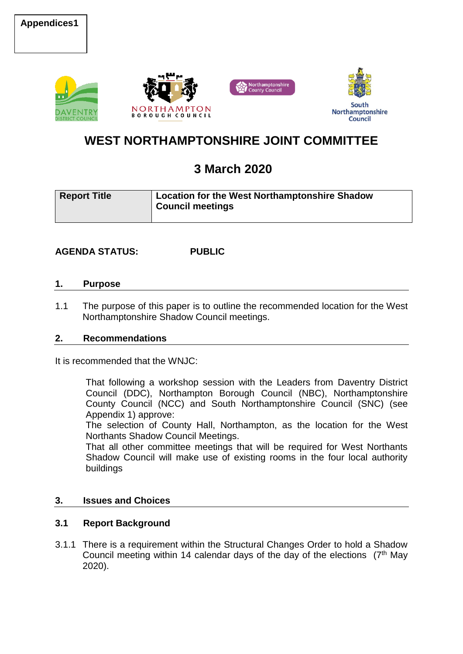



# **WEST NORTHAMPTONSHIRE JOINT COMMITTEE**

# **3 March 2020**

| <b>Report Title</b> | Location for the West Northamptonshire Shadow<br><b>Council meetings</b> |
|---------------------|--------------------------------------------------------------------------|
|                     |                                                                          |

# **AGENDA STATUS: PUBLIC**

### **1. Purpose**

1.1 The purpose of this paper is to outline the recommended location for the West Northamptonshire Shadow Council meetings.

# **2. Recommendations**

It is recommended that the WNJC:

That following a workshop session with the Leaders from Daventry District Council (DDC), Northampton Borough Council (NBC), Northamptonshire County Council (NCC) and South Northamptonshire Council (SNC) (see Appendix 1) approve:

The selection of County Hall, Northampton, as the location for the West Northants Shadow Council Meetings.

That all other committee meetings that will be required for West Northants Shadow Council will make use of existing rooms in the four local authority buildings

# **3. Issues and Choices**

# **3.1 Report Background**

3.1.1 There is a requirement within the Structural Changes Order to hold a Shadow Council meeting within 14 calendar days of the day of the elections  $(7<sup>th</sup>$  May 2020).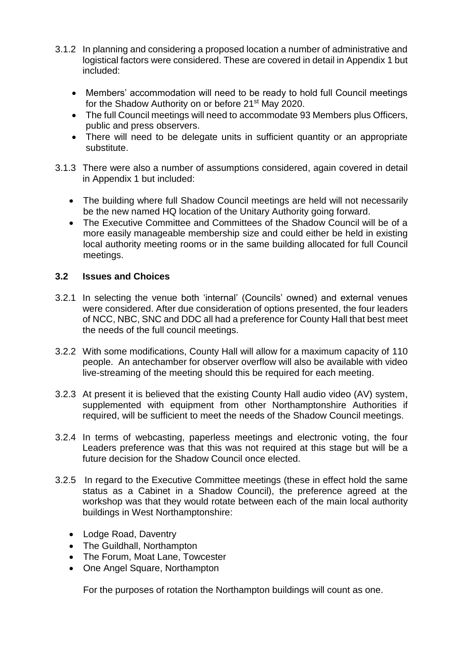- 3.1.2 In planning and considering a proposed location a number of administrative and logistical factors were considered. These are covered in detail in Appendix 1 but included:
	- Members' accommodation will need to be ready to hold full Council meetings for the Shadow Authority on or before 21<sup>st</sup> May 2020.
	- The full Council meetings will need to accommodate 93 Members plus Officers, public and press observers.
	- There will need to be delegate units in sufficient quantity or an appropriate substitute.
- 3.1.3 There were also a number of assumptions considered, again covered in detail in Appendix 1 but included:
	- The building where full Shadow Council meetings are held will not necessarily be the new named HQ location of the Unitary Authority going forward.
	- The Executive Committee and Committees of the Shadow Council will be of a more easily manageable membership size and could either be held in existing local authority meeting rooms or in the same building allocated for full Council meetings.

# **3.2 Issues and Choices**

- 3.2.1 In selecting the venue both 'internal' (Councils' owned) and external venues were considered. After due consideration of options presented, the four leaders of NCC, NBC, SNC and DDC all had a preference for County Hall that best meet the needs of the full council meetings.
- 3.2.2 With some modifications, County Hall will allow for a maximum capacity of 110 people. An antechamber for observer overflow will also be available with video live-streaming of the meeting should this be required for each meeting.
- 3.2.3 At present it is believed that the existing County Hall audio video (AV) system, supplemented with equipment from other Northamptonshire Authorities if required, will be sufficient to meet the needs of the Shadow Council meetings.
- 3.2.4 In terms of webcasting, paperless meetings and electronic voting, the four Leaders preference was that this was not required at this stage but will be a future decision for the Shadow Council once elected.
- 3.2.5 In regard to the Executive Committee meetings (these in effect hold the same status as a Cabinet in a Shadow Council), the preference agreed at the workshop was that they would rotate between each of the main local authority buildings in West Northamptonshire:
	- Lodge Road, Daventry
	- The Guildhall, Northampton
	- The Forum, Moat Lane, Towcester
	- One Angel Square, Northampton

For the purposes of rotation the Northampton buildings will count as one.